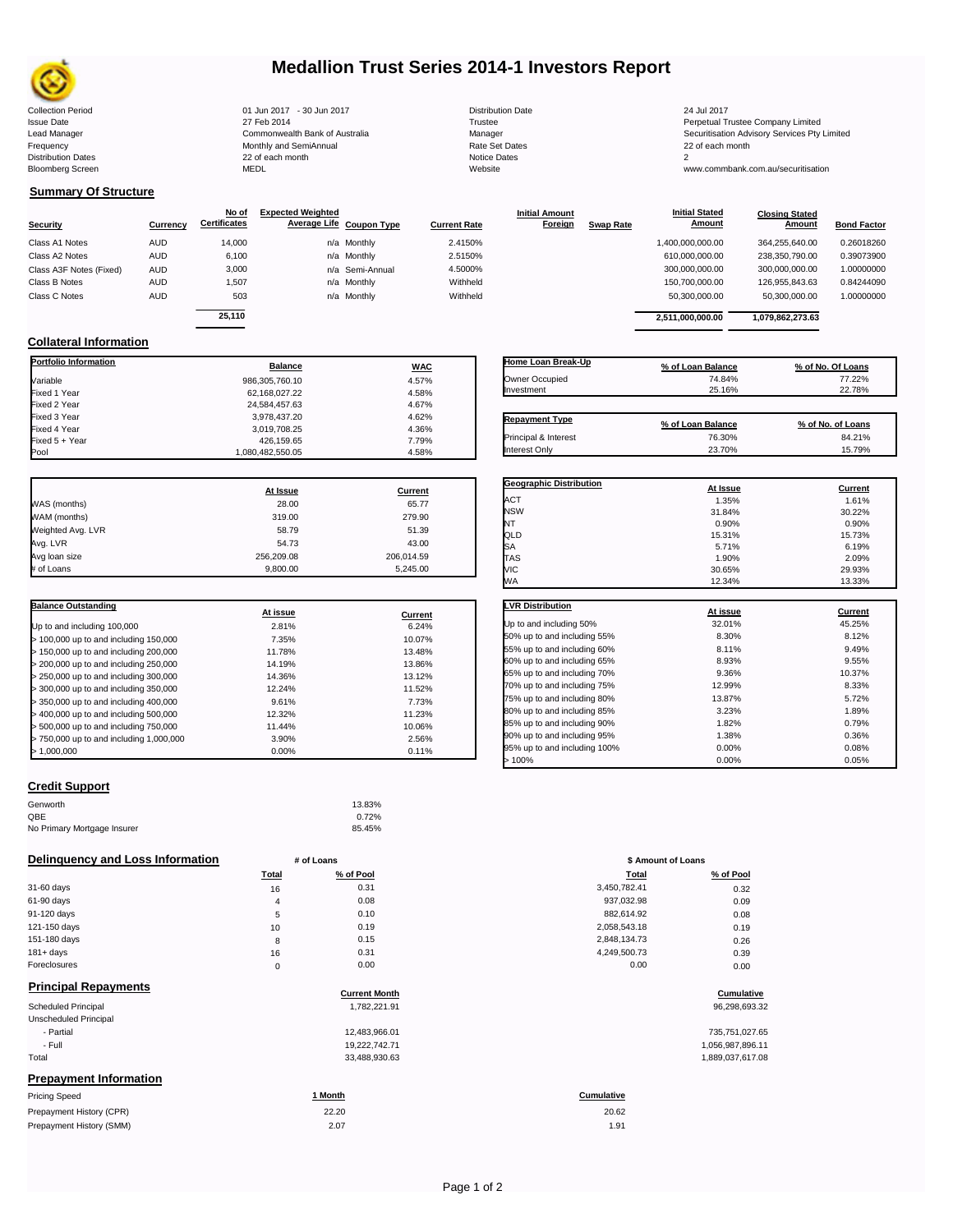

# **Medallion Trust Series 2014-1 Investors Report**

| <b>Collection Period</b>  | 01 Jun 2017 - 30 Jun 2017      | <b>Distribution Date</b> | 24 Jul 2017   |
|---------------------------|--------------------------------|--------------------------|---------------|
| <b>Issue Date</b>         | 27 Feb 2014                    | Trustee                  | Perpetual T   |
| Lead Manager              | Commonwealth Bank of Australia | Manager                  | Securitisatio |
| Frequency                 | Monthly and SemiAnnual         | Rate Set Dates           | 22 of each r  |
| <b>Distribution Dates</b> | 22 of each month               | Notice Dates             |               |
| <b>Bloomberg Screen</b>   | <b>MEDL</b>                    | Website                  | www.comm      |
|                           |                                |                          |               |

| Distribution Date   |
|---------------------|
| Trustee             |
| Manager             |
| Rate Set Dates      |
| <b>Notice Dates</b> |
| Website             |
|                     |

Issue Date 2014 27 Feb 2014 27 Feb 2014<br>Isaad Manager 2015 2017 Commonwealth Bank of Australia 2016 Manager 2016 2017 2017 Securitisation Advisory Services Pty Lead Manager **Commonwealth Bank of Australia** Manager Manager Securitisation Advisory Services Pty Limited

> **Closing Stated Amount**

www.commbank.com.au/securitisation

# **Summary Of Structure**

**Collateral Information**

|            | No of  | <b>Expected Weighted</b>      |                                                                             | <b>Initial Amount</b>    |                  | <b>Initial Stated</b> | <b>Closing Stated</b> |                    |
|------------|--------|-------------------------------|-----------------------------------------------------------------------------|--------------------------|------------------|-----------------------|-----------------------|--------------------|
| Currency   |        |                               | <b>Current Rate</b>                                                         | Foreign                  | <b>Swap Rate</b> | <b>Amount</b>         | Amount                | <b>Bond Factor</b> |
| <b>AUD</b> | 14,000 |                               | 2.4150%                                                                     |                          |                  | 1,400,000,000.00      | 364.255.640.00        | 0.26018260         |
| <b>AUD</b> | 6,100  |                               | 2.5150%                                                                     |                          |                  | 610,000,000.00        | 238,350,790.00        | 0.39073900         |
| <b>AUD</b> | 3,000  |                               | 4.5000%                                                                     |                          |                  | 300,000,000.00        | 300.000.000.00        | 1.00000000         |
| <b>AUD</b> | 1.507  |                               | Withheld                                                                    |                          |                  | 150.700.000.00        | 126.955.843.63        | 0.84244090         |
| <b>AUD</b> | 503    |                               | Withheld                                                                    |                          |                  | 50,300,000.00         | 50,300,000.00         | 1.00000000         |
|            |        |                               |                                                                             |                          |                  |                       |                       |                    |
|            |        | <b>Certificates</b><br>25.110 | n/a Monthly<br>n/a Monthly<br>n/a Semi-Annual<br>n/a Monthly<br>n/a Monthly | Average Life Coupon Type |                  |                       | 2.511.000.000.00      | 1.079.862.273.63   |

**Portfolio Information Balance WAC** Variable 986,305,760.10 4.57% Fixed 1 Year 62,168,027.22 4.58% Fixed 2 Year 24,584,457.63 4.67% Fixed 3 Year 3,978,437.20 4.62% Fixed 4 Year 3,019,708.25 4.36% Fixed 5 + Year 7.79% and the contract of the contract of the 426,159.65 and the 426,159.65 and the 426  $\frac{426,159.65}{4.58\%}$  and the 4.58% and the contract of the 4.58% and the 4.58% and the contract of the 4.58% and the

| Home Loan Break-Up    | % of Loan Balance           | % of No. Of Loans           |
|-----------------------|-----------------------------|-----------------------------|
| Owner Occupied        | 74.84%                      | 77.22%                      |
| Investment            | 25.16%                      | 22.78%                      |
|                       |                             |                             |
| <b>Repayment Type</b> |                             |                             |
| Principal & Interest  | % of Loan Balance<br>76.30% | % of No. of Loans<br>84.21% |

**Geographic Distribution**<br> **ACT ACT ACT ACT ACT ACT ACT ACT ACT ACT ACT ACT ACT ACT ACT ACT ACT ACT ACT ACT ACT ACT ACT ACT ACT ACT ACT ACT ACT ACT ACT** ACT 1.61% 1.35% 1.61% 1.61% NSW 31.84% 30.22%

**Initial Stated** 

|                   | At Issue   | Current    |
|-------------------|------------|------------|
| WAS (months)      | 28.00      | 65.77      |
| WAM (months)      | 319.00     | 279.90     |
| Weighted Avg. LVR | 58.79      | 51.39      |
| Avg. LVR          | 54.73      | 43.00      |
| Avg loan size     | 256,209.08 | 206,014.59 |
| # of Loans        | 9.800.00   | 5.245.00   |

1,080,482,550.05

| <b>Balance Outstanding</b>              | At issue | Current |
|-----------------------------------------|----------|---------|
| Up to and including 100,000             | 2.81%    | 6.24%   |
| $>$ 100,000 up to and including 150,000 | 7.35%    | 10.07%  |
| $>$ 150,000 up to and including 200,000 | 11.78%   | 13.48%  |
| > 200,000 up to and including 250,000   | 14.19%   | 13.86%  |
| > 250,000 up to and including 300,000   | 14.36%   | 13.12%  |
| > 300,000 up to and including 350,000   | 12.24%   | 11.52%  |
| > 350,000 up to and including 400,000   | 9.61%    | 7.73%   |
| $>$ 400,000 up to and including 500,000 | 12.32%   | 11.23%  |
| > 500,000 up to and including 750,000   | 11.44%   | 10.06%  |
| > 750,000 up to and including 1,000,000 | 3.90%    | 2.56%   |
| > 1.000.000                             | 0.00%    | 0.11%   |

| NT                           | 0.90%    | 0.90%   |
|------------------------------|----------|---------|
| QLD                          | 15.31%   | 15.73%  |
| SA                           | 5.71%    | 6.19%   |
| <b>TAS</b>                   | 1.90%    | 2.09%   |
| VIC                          | 30.65%   | 29.93%  |
| WA                           | 12.34%   | 13.33%  |
|                              |          |         |
| <b>LVR Distribution</b>      | At issue | Current |
| Up to and including 50%      | 32.01%   | 45.25%  |
| 50% up to and including 55%  | 8.30%    | 8.12%   |
| 55% up to and including 60%  | 8.11%    | 9.49%   |
| 60% up to and including 65%  | 8.93%    | 9.55%   |
| 65% up to and including 70%  | 9.36%    | 10.37%  |
| 70% up to and including 75%  | 12.99%   | 8.33%   |
| 75% up to and including 80%  | 13.87%   | 5.72%   |
| 80% up to and including 85%  | 3.23%    | 1.89%   |
| 85% up to and including 90%  | 1.82%    | 0.79%   |
| 90% up to and including 95%  | 1.38%    | 0.36%   |
| 95% up to and including 100% | 0.00%    | 0.08%   |

95% up to and including 100% 0.00% 0.00% 0.08% 0.08% 0.05%  $> 100\%$  0.05% 0.00% 0.05%

## **Credit Support**

| Genworth                    | 13.83% |
|-----------------------------|--------|
| QBE                         | 0.72%  |
| No Primary Mortgage Insurer | 85.45% |

### **Delinquency and Loss Information # of Loans**

|                             |              | $\pi$ vi louis       | $\bullet$ Annount or Equity |                   |
|-----------------------------|--------------|----------------------|-----------------------------|-------------------|
|                             | <b>Total</b> | % of Pool            | Total                       | % of Pool         |
| 31-60 days                  | 16           | 0.31                 | 3,450,782.41                | 0.32              |
| 61-90 days                  | 4            | 0.08                 | 937,032.98                  | 0.09              |
| 91-120 days                 | 5            | 0.10                 | 882,614.92                  | 0.08              |
| 121-150 days                | 10           | 0.19                 | 2,058,543.18                | 0.19              |
| 151-180 days                | 8            | 0.15                 | 2,848,134.73                | 0.26              |
| $181 + days$                | 16           | 0.31                 | 4,249,500.73                | 0.39              |
| Foreclosures                | 0            | 0.00                 | 0.00                        | 0.00              |
| <b>Principal Repayments</b> |              |                      |                             |                   |
|                             |              | <b>Current Month</b> |                             | <b>Cumulative</b> |
| <b>Scheduled Principal</b>  |              | 1,782,221.91         |                             | 96,298,693.32     |

| Pricing Speed          | 1 Month       | <b>Cumulative</b>    |
|------------------------|---------------|----------------------|
| Prepayment Information |               |                      |
| Total                  | 33,488,930.63 | 1,889,037,617.08     |
| - Full                 | 19,222,742.71 | 1,056,987,896.11     |
| - Partial              | 12,483,966.01 | 735,751,027.65       |
| Unscheduled Principal  |               |                      |
| JUICUUCU FIIIUIDAI     | 1,702,221.91  | <b>90,290,090.02</b> |

| <b>Thomas</b> Opeca      | <u></u> | <u>vulluutru</u> |
|--------------------------|---------|------------------|
| Prepayment History (CPR) | 22.20   | 20.62            |
| Prepayment History (SMM) | 2.07    | 1.91             |

| # of Loans |           | \$ Amount of Loans |           |
|------------|-----------|--------------------|-----------|
| Total      | % of Pool | Total              | % of Pool |
| 16         | 0.31      | 3,450,782.41       | 0.32      |
| 4          | 0.08      | 937,032.98         | 0.09      |
| 5          | 0.10      | 882,614.92         | 0.08      |
| 10         | 0.19      | 2,058,543.18       | 0.19      |
| 8          | 0.15      | 2,848,134.73       | 0.26      |
| 16         | 0.31      | 4,249,500.73       | 0.39      |
| $\Omega$   | 0.00      | 0.00               | n nn      |

# **Cumulative Cumulative**

| 735.751.027.65   |
|------------------|
| 1,056,987,896.11 |
| 1,889,037,617.08 |

20.62